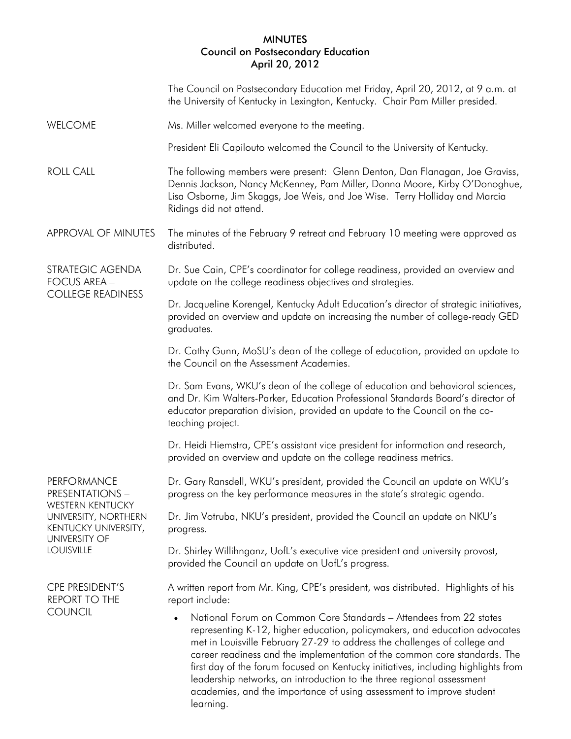## MINUTES Council on Postsecondary Education April 20, 2012

|                                                                                                                                                 | The Council on Postsecondary Education met Friday, April 20, 2012, at 9 a.m. at<br>the University of Kentucky in Lexington, Kentucky. Chair Pam Miller presided.                                                                                                                                                                                                                                                                                                                                                                                                           |
|-------------------------------------------------------------------------------------------------------------------------------------------------|----------------------------------------------------------------------------------------------------------------------------------------------------------------------------------------------------------------------------------------------------------------------------------------------------------------------------------------------------------------------------------------------------------------------------------------------------------------------------------------------------------------------------------------------------------------------------|
| <b>WELCOME</b>                                                                                                                                  | Ms. Miller welcomed everyone to the meeting.                                                                                                                                                                                                                                                                                                                                                                                                                                                                                                                               |
|                                                                                                                                                 | President Eli Capilouto welcomed the Council to the University of Kentucky.                                                                                                                                                                                                                                                                                                                                                                                                                                                                                                |
| <b>ROLL CALL</b>                                                                                                                                | The following members were present: Glenn Denton, Dan Flanagan, Joe Graviss,<br>Dennis Jackson, Nancy McKenney, Pam Miller, Donna Moore, Kirby O'Donoghue,<br>Lisa Osborne, Jim Skaggs, Joe Weis, and Joe Wise. Terry Holliday and Marcia<br>Ridings did not attend.                                                                                                                                                                                                                                                                                                       |
| APPROVAL OF MINUTES                                                                                                                             | The minutes of the February 9 retreat and February 10 meeting were approved as<br>distributed.                                                                                                                                                                                                                                                                                                                                                                                                                                                                             |
| STRATEGIC AGENDA<br><b>FOCUS AREA -</b><br><b>COLLEGE READINESS</b>                                                                             | Dr. Sue Cain, CPE's coordinator for college readiness, provided an overview and<br>update on the college readiness objectives and strategies.                                                                                                                                                                                                                                                                                                                                                                                                                              |
|                                                                                                                                                 | Dr. Jacqueline Korengel, Kentucky Adult Education's director of strategic initiatives,<br>provided an overview and update on increasing the number of college-ready GED<br>graduates.                                                                                                                                                                                                                                                                                                                                                                                      |
|                                                                                                                                                 | Dr. Cathy Gunn, MoSU's dean of the college of education, provided an update to<br>the Council on the Assessment Academies.                                                                                                                                                                                                                                                                                                                                                                                                                                                 |
|                                                                                                                                                 | Dr. Sam Evans, WKU's dean of the college of education and behavioral sciences,<br>and Dr. Kim Walters-Parker, Education Professional Standards Board's director of<br>educator preparation division, provided an update to the Council on the co-<br>teaching project.                                                                                                                                                                                                                                                                                                     |
|                                                                                                                                                 | Dr. Heidi Hiemstra, CPE's assistant vice president for information and research,<br>provided an overview and update on the college readiness metrics.                                                                                                                                                                                                                                                                                                                                                                                                                      |
| PERFORMANCE<br>PRESENTATIONS -<br><b>WESTERN KENTUCKY</b><br>UNIVERSITY, NORTHERN<br>KENTUCKY UNIVERSITY,<br>UNIVERSITY OF<br><b>LOUISVILLE</b> | Dr. Gary Ransdell, WKU's president, provided the Council an update on WKU's<br>progress on the key performance measures in the state's strategic agenda.                                                                                                                                                                                                                                                                                                                                                                                                                   |
|                                                                                                                                                 | Dr. Jim Votruba, NKU's president, provided the Council an update on NKU's<br>progress.                                                                                                                                                                                                                                                                                                                                                                                                                                                                                     |
|                                                                                                                                                 | Dr. Shirley Willihnganz, UofL's executive vice president and university provost,<br>provided the Council an update on UofL's progress.                                                                                                                                                                                                                                                                                                                                                                                                                                     |
| CPE PRESIDENT'S<br>REPORT TO THE<br><b>COUNCIL</b>                                                                                              | A written report from Mr. King, CPE's president, was distributed. Highlights of his<br>report include:                                                                                                                                                                                                                                                                                                                                                                                                                                                                     |
|                                                                                                                                                 | National Forum on Common Core Standards - Attendees from 22 states<br>$\bullet$<br>representing K-12, higher education, policymakers, and education advocates<br>met in Louisville February 27-29 to address the challenges of college and<br>career readiness and the implementation of the common core standards. The<br>first day of the forum focused on Kentucky initiatives, including highlights from<br>leadership networks, an introduction to the three regional assessment<br>academies, and the importance of using assessment to improve student<br>learning. |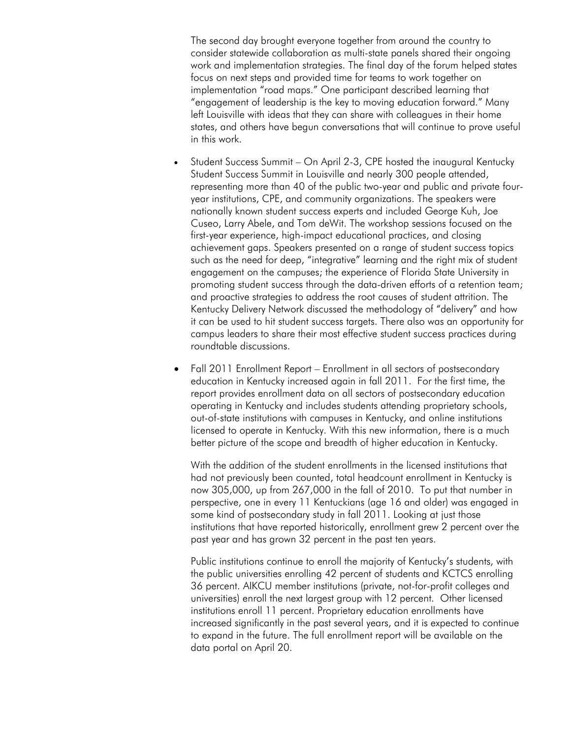The second day brought everyone together from around the country to consider statewide collaboration as multi-state panels shared their ongoing work and implementation strategies. The final day of the forum helped states focus on next steps and provided time for teams to work together on implementation "road maps." One participant described learning that "engagement of leadership is the key to moving education forward." Many left Louisville with ideas that they can share with colleagues in their home states, and others have begun conversations that will continue to prove useful in this work.

- Student Success Summit On April 2-3, CPE hosted the inaugural Kentucky Student Success Summit in Louisville and nearly 300 people attended, representing more than 40 of the public two-year and public and private fouryear institutions, CPE, and community organizations. The speakers were nationally known student success experts and included George Kuh, Joe Cuseo, Larry Abele, and Tom deWit. The workshop sessions focused on the first-year experience, high-impact educational practices, and closing achievement gaps. Speakers presented on a range of student success topics such as the need for deep, "integrative" learning and the right mix of student engagement on the campuses; the experience of Florida State University in promoting student success through the data-driven efforts of a retention team; and proactive strategies to address the root causes of student attrition. The Kentucky Delivery Network discussed the methodology of "delivery" and how it can be used to hit student success targets. There also was an opportunity for campus leaders to share their most effective student success practices during roundtable discussions.
- Fall 2011 Enrollment Report Enrollment in all sectors of postsecondary education in Kentucky increased again in fall 2011. For the first time, the report provides enrollment data on all sectors of postsecondary education operating in Kentucky and includes students attending proprietary schools, out-of-state institutions with campuses in Kentucky, and online institutions licensed to operate in Kentucky. With this new information, there is a much better picture of the scope and breadth of higher education in Kentucky.

With the addition of the student enrollments in the licensed institutions that had not previously been counted, total headcount enrollment in Kentucky is now 305,000, up from 267,000 in the fall of 2010. To put that number in perspective, one in every 11 Kentuckians (age 16 and older) was engaged in some kind of postsecondary study in fall 2011. Looking at just those institutions that have reported historically, enrollment grew 2 percent over the past year and has grown 32 percent in the past ten years.

Public institutions continue to enroll the majority of Kentucky's students, with the public universities enrolling 42 percent of students and KCTCS enrolling 36 percent. AIKCU member institutions (private, not-for-profit colleges and universities) enroll the next largest group with 12 percent. Other licensed institutions enroll 11 percent. Proprietary education enrollments have increased significantly in the past several years, and it is expected to continue to expand in the future. The full enrollment report will be available on the data portal on April 20.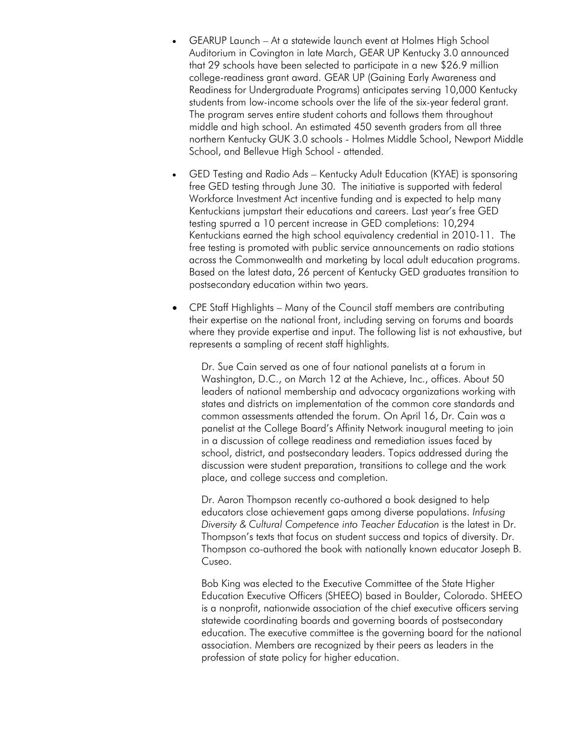- GEARUP Launch At a statewide launch event at Holmes High School Auditorium in Covington in late March, GEAR UP Kentucky 3.0 announced that 29 schools have been selected to participate in a new \$26.9 million college-readiness grant award. GEAR UP (Gaining Early Awareness and Readiness for Undergraduate Programs) anticipates serving 10,000 Kentucky students from low-income schools over the life of the six-year federal grant. The program serves entire student cohorts and follows them throughout middle and high school. An estimated 450 seventh graders from all three northern Kentucky GUK 3.0 schools - Holmes Middle School, Newport Middle School, and Bellevue High School - attended.
- GED Testing and Radio Ads Kentucky Adult Education (KYAE) is sponsoring free GED testing through June 30. The initiative is supported with federal Workforce Investment Act incentive funding and is expected to help many Kentuckians jumpstart their educations and careers. Last year's free GED testing spurred a 10 percent increase in GED completions: 10,294 Kentuckians earned the high school equivalency credential in 2010-11. The free testing is promoted with public service announcements on radio stations across the Commonwealth and marketing by local adult education programs. Based on the latest data, 26 percent of Kentucky GED graduates transition to postsecondary education within two years.
- CPE Staff Highlights Many of the Council staff members are contributing their expertise on the national front, including serving on forums and boards where they provide expertise and input. The following list is not exhaustive, but represents a sampling of recent staff highlights.

Dr. Sue Cain served as one of four national panelists at a forum in Washington, D.C., on March 12 at the Achieve, Inc., offices. About 50 leaders of national membership and advocacy organizations working with states and districts on implementation of the common core standards and common assessments attended the forum. On April 16, Dr. Cain was a panelist at the College Board's Affinity Network inaugural meeting to join in a discussion of college readiness and remediation issues faced by school, district, and postsecondary leaders. Topics addressed during the discussion were student preparation, transitions to college and the work place, and college success and completion.

Dr. Aaron Thompson recently co-authored a book designed to help educators close achievement gaps among diverse populations. *Infusing Diversity & Cultural Competence into Teacher Education* is the latest in Dr. Thompson's texts that focus on student success and topics of diversity. Dr. Thompson co-authored the book with nationally known educator Joseph B. Cuseo.

Bob King was elected to the Executive Committee of the State Higher Education Executive Officers (SHEEO) based in Boulder, Colorado. SHEEO is a nonprofit, nationwide association of the chief executive officers serving statewide coordinating boards and governing boards of postsecondary education. The executive committee is the governing board for the national association. Members are recognized by their peers as leaders in the profession of state policy for higher education.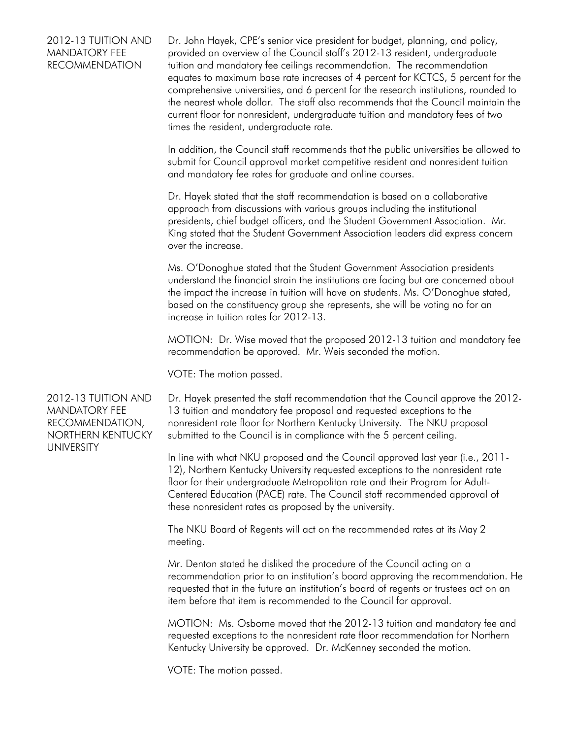## 2012-13 TUITION AND MANDATORY FEE RECOMMENDATION

Dr. John Hayek, CPE's senior vice president for budget, planning, and policy, provided an overview of the Council staff's 2012-13 resident, undergraduate tuition and mandatory fee ceilings recommendation. The recommendation equates to maximum base rate increases of 4 percent for KCTCS, 5 percent for the comprehensive universities, and 6 percent for the research institutions, rounded to the nearest whole dollar. The staff also recommends that the Council maintain the current floor for nonresident, undergraduate tuition and mandatory fees of two times the resident, undergraduate rate.

In addition, the Council staff recommends that the public universities be allowed to submit for Council approval market competitive resident and nonresident tuition and mandatory fee rates for graduate and online courses.

Dr. Hayek stated that the staff recommendation is based on a collaborative approach from discussions with various groups including the institutional presidents, chief budget officers, and the Student Government Association. Mr. King stated that the Student Government Association leaders did express concern over the increase.

Ms. O'Donoghue stated that the Student Government Association presidents understand the financial strain the institutions are facing but are concerned about the impact the increase in tuition will have on students. Ms. O'Donoghue stated, based on the constituency group she represents, she will be voting no for an increase in tuition rates for 2012-13.

MOTION: Dr. Wise moved that the proposed 2012-13 tuition and mandatory fee recommendation be approved. Mr. Weis seconded the motion.

VOTE: The motion passed.

2012-13 TUITION AND MANDATORY FEE RECOMMENDATION, NORTHERN KENTUCKY UNIVERSITY

Dr. Hayek presented the staff recommendation that the Council approve the 2012- 13 tuition and mandatory fee proposal and requested exceptions to the nonresident rate floor for Northern Kentucky University. The NKU proposal submitted to the Council is in compliance with the 5 percent ceiling.

In line with what NKU proposed and the Council approved last year (i.e., 2011- 12), Northern Kentucky University requested exceptions to the nonresident rate floor for their undergraduate Metropolitan rate and their Program for Adult-Centered Education (PACE) rate. The Council staff recommended approval of these nonresident rates as proposed by the university.

The NKU Board of Regents will act on the recommended rates at its May 2 meeting.

Mr. Denton stated he disliked the procedure of the Council acting on a recommendation prior to an institution's board approving the recommendation. He requested that in the future an institution's board of regents or trustees act on an item before that item is recommended to the Council for approval.

MOTION: Ms. Osborne moved that the 2012-13 tuition and mandatory fee and requested exceptions to the nonresident rate floor recommendation for Northern Kentucky University be approved. Dr. McKenney seconded the motion.

VOTE: The motion passed.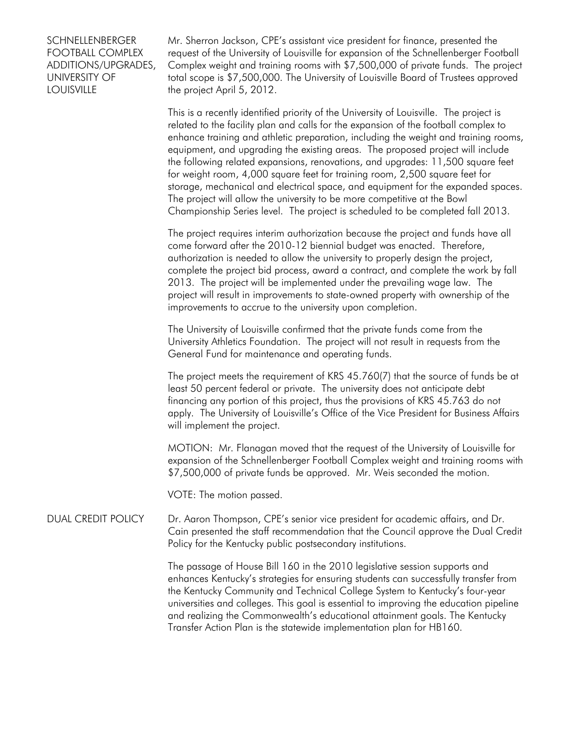## **SCHNELLENBERGER** FOOTBALL COMPLEX ADDITIONS/UPGRADES, UNIVERSITY OF **LOUISVILLE**

Mr. Sherron Jackson, CPE's assistant vice president for finance, presented the request of the University of Louisville for expansion of the Schnellenberger Football Complex weight and training rooms with \$7,500,000 of private funds. The project total scope is \$7,500,000. The University of Louisville Board of Trustees approved the project April 5, 2012.

This is a recently identified priority of the University of Louisville. The project is related to the facility plan and calls for the expansion of the football complex to enhance training and athletic preparation, including the weight and training rooms, equipment, and upgrading the existing areas. The proposed project will include the following related expansions, renovations, and upgrades: 11,500 square feet for weight room, 4,000 square feet for training room, 2,500 square feet for storage, mechanical and electrical space, and equipment for the expanded spaces. The project will allow the university to be more competitive at the Bowl Championship Series level. The project is scheduled to be completed fall 2013.

The project requires interim authorization because the project and funds have all come forward after the 2010-12 biennial budget was enacted. Therefore, authorization is needed to allow the university to properly design the project, complete the project bid process, award a contract, and complete the work by fall 2013. The project will be implemented under the prevailing wage law. The project will result in improvements to state-owned property with ownership of the improvements to accrue to the university upon completion.

The University of Louisville confirmed that the private funds come from the University Athletics Foundation. The project will not result in requests from the General Fund for maintenance and operating funds.

The project meets the requirement of KRS 45.760(7) that the source of funds be at least 50 percent federal or private. The university does not anticipate debt financing any portion of this project, thus the provisions of KRS 45.763 do not apply. The University of Louisville's Office of the Vice President for Business Affairs will implement the project.

MOTION: Mr. Flanagan moved that the request of the University of Louisville for expansion of the Schnellenberger Football Complex weight and training rooms with \$7,500,000 of private funds be approved. Mr. Weis seconded the motion.

VOTE: The motion passed.

## DUAL CREDIT POLICY Dr. Aaron Thompson, CPE's senior vice president for academic affairs, and Dr. Cain presented the staff recommendation that the Council approve the Dual Credit Policy for the Kentucky public postsecondary institutions.

The passage of House Bill 160 in the 2010 legislative session supports and enhances Kentucky's strategies for ensuring students can successfully transfer from the Kentucky Community and Technical College System to Kentucky's four-year universities and colleges. This goal is essential to improving the education pipeline and realizing the Commonwealth's educational attainment goals. The Kentucky Transfer Action Plan is the statewide implementation plan for HB160.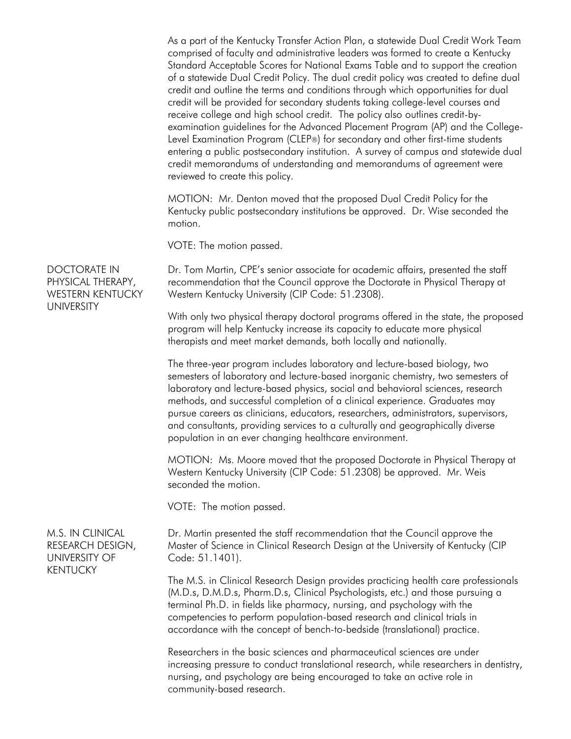As a part of the Kentucky Transfer Action Plan, a statewide Dual Credit Work Team comprised of faculty and administrative leaders was formed to create a Kentucky Standard Acceptable Scores for National Exams Table and to support the creation of a statewide Dual Credit Policy. The dual credit policy was created to define dual credit and outline the terms and conditions through which opportunities for dual credit will be provided for secondary students taking college-level courses and receive college and high school credit. The policy also outlines credit-byexamination guidelines for the Advanced Placement Program (AP) and the College-Level Examination Program (CLEP®) for secondary and other first-time students entering a public postsecondary institution. A survey of campus and statewide dual credit memorandums of understanding and memorandums of agreement were reviewed to create this policy.

MOTION: Mr. Denton moved that the proposed Dual Credit Policy for the Kentucky public postsecondary institutions be approved. Dr. Wise seconded the motion.

VOTE: The motion passed.

Dr. Tom Martin, CPE's senior associate for academic affairs, presented the staff recommendation that the Council approve the Doctorate in Physical Therapy at Western Kentucky University (CIP Code: 51.2308).

With only two physical therapy doctoral programs offered in the state, the proposed program will help Kentucky increase its capacity to educate more physical therapists and meet market demands, both locally and nationally.

The three-year program includes laboratory and lecture-based biology, two semesters of laboratory and lecture-based inorganic chemistry, two semesters of laboratory and lecture-based physics, social and behavioral sciences, research methods, and successful completion of a clinical experience. Graduates may pursue careers as clinicians, educators, researchers, administrators, supervisors, and consultants, providing services to a culturally and geographically diverse population in an ever changing healthcare environment.

MOTION: Ms. Moore moved that the proposed Doctorate in Physical Therapy at Western Kentucky University (CIP Code: 51.2308) be approved. Mr. Weis seconded the motion.

VOTE: The motion passed.

Dr. Martin presented the staff recommendation that the Council approve the Master of Science in Clinical Research Design at the University of Kentucky (CIP Code: 51.1401).

The M.S. in Clinical Research Design provides practicing health care professionals (M.D.s, D.M.D.s, Pharm.D.s, Clinical Psychologists, etc.) and those pursuing a terminal Ph.D. in fields like pharmacy, nursing, and psychology with the competencies to perform population-based research and clinical trials in accordance with the concept of bench-to-bedside (translational) practice.

Researchers in the basic sciences and pharmaceutical sciences are under increasing pressure to conduct translational research, while researchers in dentistry, nursing, and psychology are being encouraged to take an active role in community-based research.

DOCTORATE IN PHYSICAL THERAPY, WESTERN KENTUCKY UNIVERSITY

M.S. IN CLINICAL RESEARCH DESIGN, UNIVERSITY OF **KENTUCKY**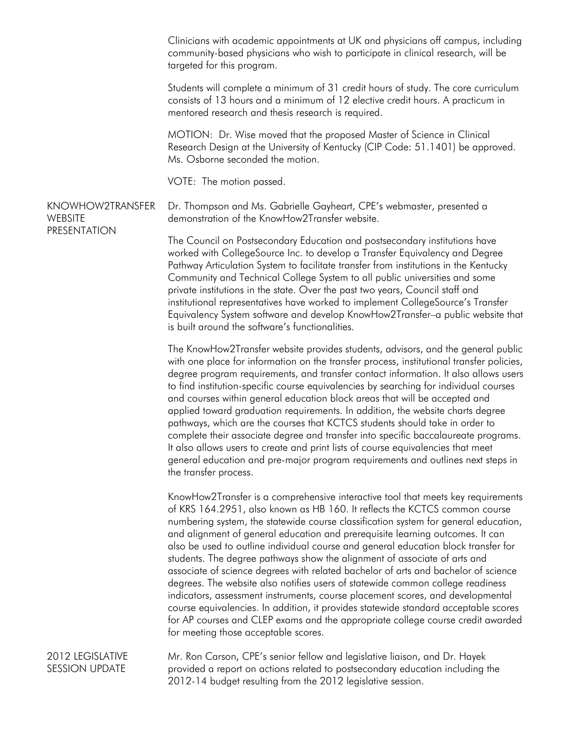Clinicians with academic appointments at UK and physicians off campus, including community-based physicians who wish to participate in clinical research, will be targeted for this program.

Students will complete a minimum of 31 credit hours of study. The core curriculum consists of 13 hours and a minimum of 12 elective credit hours. A practicum in mentored research and thesis research is required.

MOTION: Dr. Wise moved that the proposed Master of Science in Clinical Research Design at the University of Kentucky (CIP Code: 51.1401) be approved. Ms. Osborne seconded the motion.

VOTE: The motion passed.

KNOWHOW2TRANSFER **WEBSITE** PRESENTATION Dr. Thompson and Ms. Gabrielle Gayheart, CPE's webmaster, presented a demonstration of the KnowHow2Transfer website.

> The Council on Postsecondary Education and postsecondary institutions have worked with CollegeSource Inc. to develop a Transfer Equivalency and Degree Pathway Articulation System to facilitate transfer from institutions in the Kentucky Community and Technical College System to all public universities and some private institutions in the state. Over the past two years, Council staff and institutional representatives have worked to implement CollegeSource's Transfer Equivalency System software and develop KnowHow2Transfer–a public website that is built around the software's functionalities.

> The KnowHow2Transfer website provides students, advisors, and the general public with one place for information on the transfer process, institutional transfer policies, degree program requirements, and transfer contact information. It also allows users to find institution-specific course equivalencies by searching for individual courses and courses within general education block areas that will be accepted and applied toward graduation requirements. In addition, the website charts degree pathways, which are the courses that KCTCS students should take in order to complete their associate degree and transfer into specific baccalaureate programs. It also allows users to create and print lists of course equivalencies that meet general education and pre-major program requirements and outlines next steps in the transfer process.

> KnowHow2Transfer is a comprehensive interactive tool that meets key requirements of KRS 164.2951, also known as HB 160. It reflects the KCTCS common course numbering system, the statewide course classification system for general education, and alignment of general education and prerequisite learning outcomes. It can also be used to outline individual course and general education block transfer for students. The degree pathways show the alignment of associate of arts and associate of science degrees with related bachelor of arts and bachelor of science degrees. The website also notifies users of statewide common college readiness indicators, assessment instruments, course placement scores, and developmental course equivalencies. In addition, it provides statewide standard acceptable scores for AP courses and CLEP exams and the appropriate college course credit awarded for meeting those acceptable scores.

2012 LEGISLATIVE SESSION UPDATE Mr. Ron Carson, CPE's senior fellow and legislative liaison, and Dr. Hayek provided a report on actions related to postsecondary education including the 2012-14 budget resulting from the 2012 legislative session.